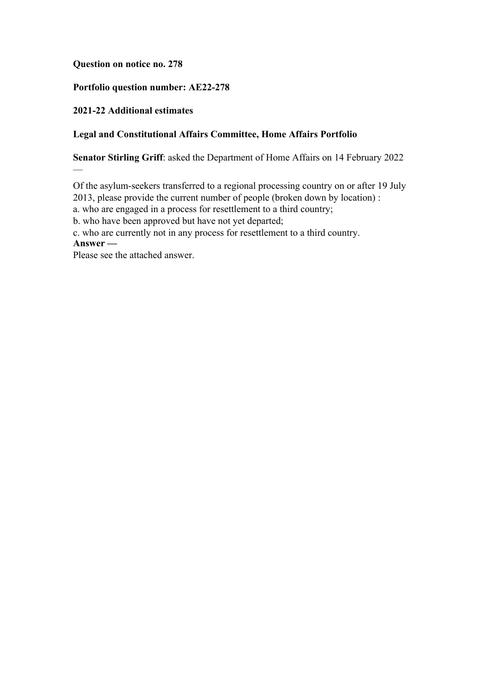## **Question on notice no. 278**

## **Portfolio question number: AE22-278**

#### **2021-22 Additional estimates**

#### **Legal and Constitutional Affairs Committee, Home Affairs Portfolio**

**Senator Stirling Griff**: asked the Department of Home Affairs on 14 February 2022

Of the asylum-seekers transferred to a regional processing country on or after 19 July

2013, please provide the current number of people (broken down by location) :

a. who are engaged in a process for resettlement to a third country;

b. who have been approved but have not yet departed;

c. who are currently not in any process for resettlement to a third country.

**Answer —**

—

Please see the attached answer.